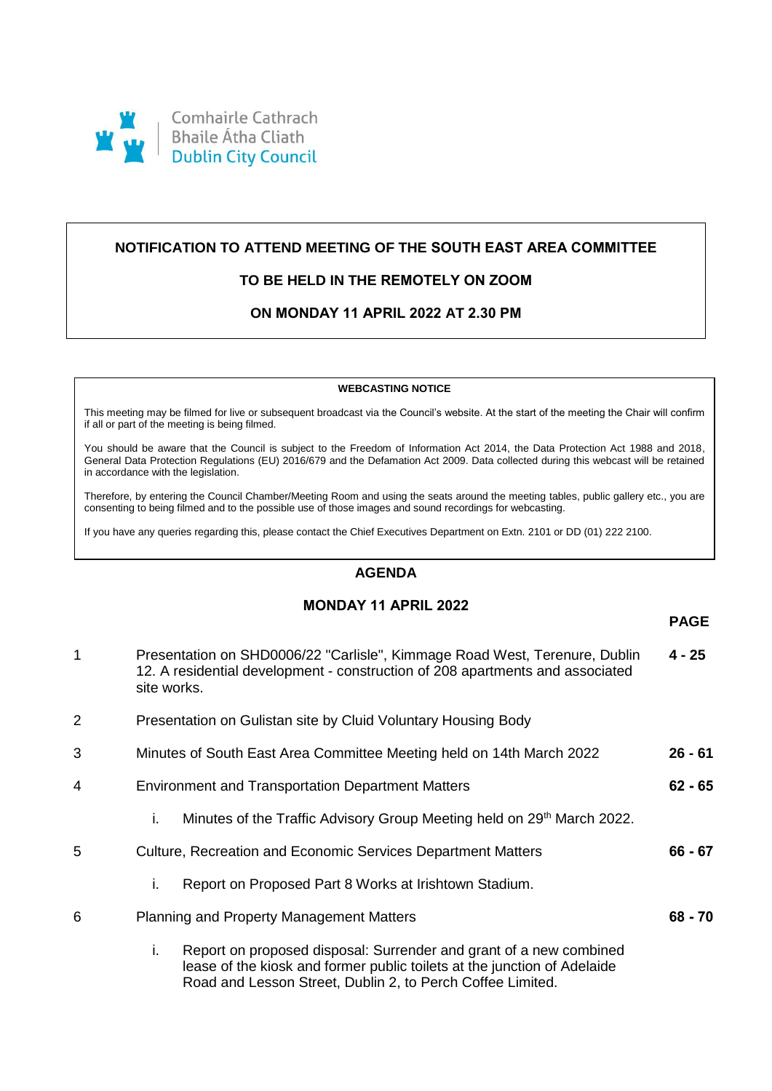

# **NOTIFICATION TO ATTEND MEETING OF THE SOUTH EAST AREA COMMITTEE**

# **TO BE HELD IN THE REMOTELY ON ZOOM**

# **ON MONDAY 11 APRIL 2022 AT 2.30 PM**

#### **WEBCASTING NOTICE**

This meeting may be filmed for live or subsequent broadcast via the Council's website. At the start of the meeting the Chair will confirm if all or part of the meeting is being filmed.

You should be aware that the Council is subject to the Freedom of Information Act 2014, the Data Protection Act 1988 and 2018, General Data Protection Regulations (EU) 2016/679 and the Defamation Act 2009. Data collected during this webcast will be retained in accordance with the legislation.

Therefore, by entering the Council Chamber/Meeting Room and using the seats around the meeting tables, public gallery etc., you are consenting to being filmed and to the possible use of those images and sound recordings for webcasting.

If you have any queries regarding this, please contact the Chief Executives Department on Extn. 2101 or DD (01) 222 2100.

## **AGENDA**

## **MONDAY 11 APRIL 2022**

**PAGE**

**62 - 65**

**68 - 70**

- 1 Presentation on SHD0006/22 "Carlisle", Kimmage Road West, Terenure, Dublin 12. A residential development - construction of 208 apartments and associated site works. **4 - 25**
- 2 Presentation on Gulistan site by Cluid Voluntary Housing Body
- 3 Minutes of South East Area Committee Meeting held on 14th March 2022 **26 - 61**
- 4 Environment and Transportation Department Matters
	- i. Minutes of the Traffic Advisory Group Meeting held on  $29<sup>th</sup>$  March 2022.
- 5 Culture, Recreation and Economic Services Department Matters **66 - 67**
	- i. Report on Proposed Part 8 Works at Irishtown Stadium.
- 6 Planning and Property Management Matters
	- i. Report on proposed disposal: Surrender and grant of a new combined lease of the kiosk and former public toilets at the junction of Adelaide Road and Lesson Street, Dublin 2, to Perch Coffee Limited.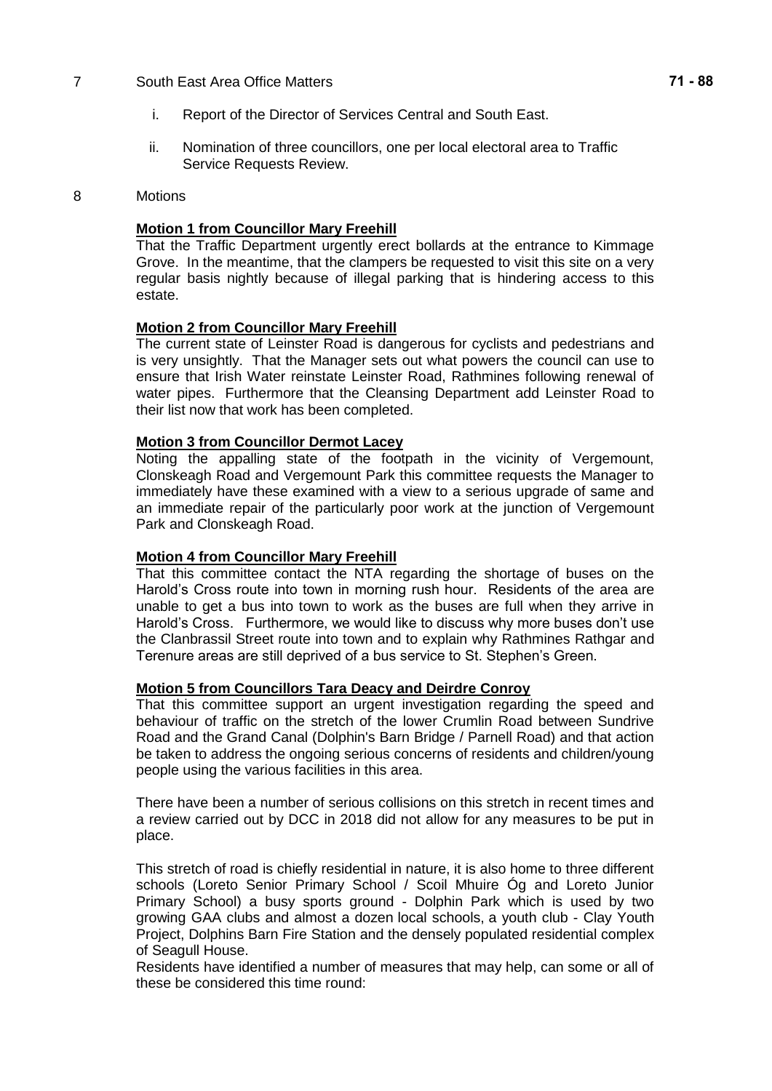#### 7 South East Area Office Matters

- i. Report of the Director of Services Central and South East.
- ii. Nomination of three councillors, one per local electoral area to Traffic Service Requests Review.

### 8 Motions

## **Motion 1 from Councillor Mary Freehill**

That the Traffic Department urgently erect bollards at the entrance to Kimmage Grove. In the meantime, that the clampers be requested to visit this site on a very regular basis nightly because of illegal parking that is hindering access to this estate.

### **Motion 2 from Councillor Mary Freehill**

The current state of Leinster Road is dangerous for cyclists and pedestrians and is very unsightly. That the Manager sets out what powers the council can use to ensure that Irish Water reinstate Leinster Road, Rathmines following renewal of water pipes. Furthermore that the Cleansing Department add Leinster Road to their list now that work has been completed.

### **Motion 3 from Councillor Dermot Lacey**

Noting the appalling state of the footpath in the vicinity of Vergemount, Clonskeagh Road and Vergemount Park this committee requests the Manager to immediately have these examined with a view to a serious upgrade of same and an immediate repair of the particularly poor work at the junction of Vergemount Park and Clonskeagh Road.

### **Motion 4 from Councillor Mary Freehill**

That this committee contact the NTA regarding the shortage of buses on the Harold's Cross route into town in morning rush hour. Residents of the area are unable to get a bus into town to work as the buses are full when they arrive in Harold's Cross. Furthermore, we would like to discuss why more buses don't use the Clanbrassil Street route into town and to explain why Rathmines Rathgar and Terenure areas are still deprived of a bus service to St. Stephen's Green.

### **Motion 5 from Councillors Tara Deacy and Deirdre Conroy**

That this committee support an urgent investigation regarding the speed and behaviour of traffic on the stretch of the lower Crumlin Road between Sundrive Road and the Grand Canal (Dolphin's Barn Bridge / Parnell Road) and that action be taken to address the ongoing serious concerns of residents and children/young people using the various facilities in this area.

There have been a number of serious collisions on this stretch in recent times and a review carried out by DCC in 2018 did not allow for any measures to be put in place.

This stretch of road is chiefly residential in nature, it is also home to three different schools (Loreto Senior Primary School / Scoil Mhuire Óg and Loreto Junior Primary School) a busy sports ground - Dolphin Park which is used by two growing GAA clubs and almost a dozen local schools, a youth club - Clay Youth Project, Dolphins Barn Fire Station and the densely populated residential complex of Seagull House.

Residents have identified a number of measures that may help, can some or all of these be considered this time round: